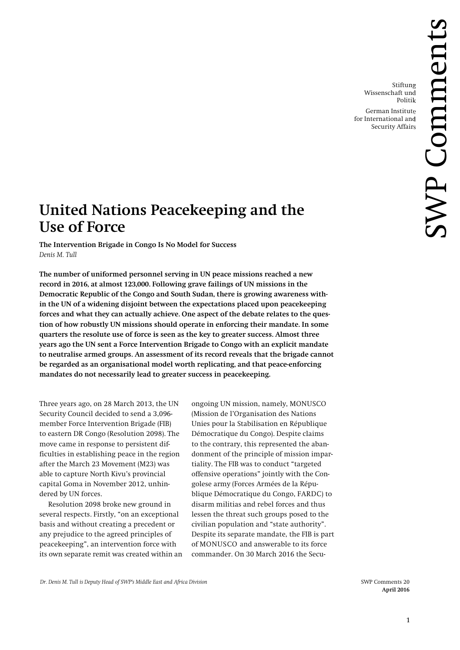Stiftung Wissenschaft und Politik

German Institute for International and Security Affairs

# **United Nations Peacekeeping and the Use of Force**

**The Intervention Brigade in Congo Is No Model for Success** *Denis M. Tull*

**The number of uniformed personnel serving in UN peace missions reached a new record in 2016, at almost 123,000. Following grave failings of UN missions in the Democratic Republic of the Congo and South Sudan, there is growing awareness within the UN of a widening disjoint between the expectations placed upon peacekeeping forces and what they can actually achieve. One aspect of the debate relates to the question of how robustly UN missions should operate in enforcing their mandate. In some quarters the resolute use of force is seen as the key to greater success. Almost three years ago the UN sent a Force Intervention Brigade to Congo with an explicit mandate to neutralise armed groups. An assessment of its record reveals that the brigade cannot be regarded as an organisational model worth replicating, and that peace-enforcing mandates do not necessarily lead to greater success in peacekeeping.**

Three years ago, on 28 March 2013, the UN Security Council decided to send a 3,096 member Force Intervention Brigade (FIB) to eastern DR Congo (Resolution 2098). The move came in response to persistent difficulties in establishing peace in the region after the March 23 Movement (M23) was able to capture North Kivu's provincial capital Goma in November 2012, unhindered by UN forces.

Resolution 2098 broke new ground in several respects. Firstly, "on an exceptional basis and without creating a precedent or any prejudice to the agreed principles of peacekeeping", an intervention force with its own separate remit was created within an

ongoing UN mission, namely, MONUSCO (Mission de l'Organisation des Nations Unies pour la Stabilisation en République Démocratique du Congo). Despite claims to the contrary, this represented the abandonment of the principle of mission impartiality. The FIB was to conduct "targeted offensive operations" jointly with the Congolese army (Forces Armées de la République Démocratique du Congo, FARDC) to disarm militias and rebel forces and thus lessen the threat such groups posed to the civilian population and "state authority". Despite its separate mandate, the FIB is part of MONUSCO and answerable to its force commander. On 30 March 2016 the Secu-

 **April 2016**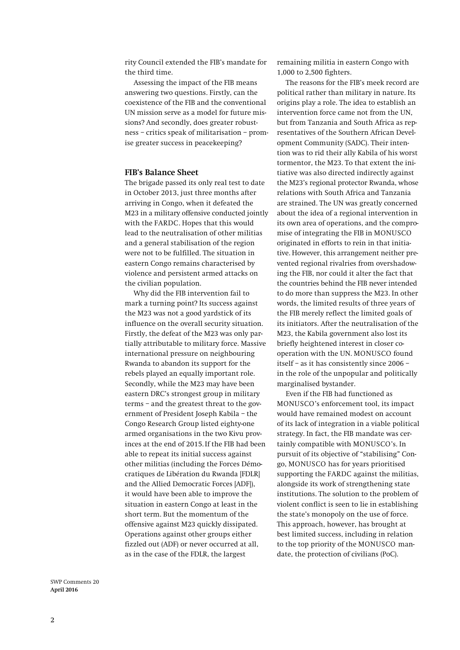rity Council extended the FIB's mandate for the third time.

Assessing the impact of the FIB means answering two questions. Firstly, can the coexistence of the FIB and the conventional UN mission serve as a model for future missions? And secondly, does greater robustness – critics speak of militarisation – promise greater success in peacekeeping?

### **FIB's Balance Sheet**

The brigade passed its only real test to date in October 2013, just three months after arriving in Congo, when it defeated the M23 in a military offensive conducted jointly with the FARDC. Hopes that this would lead to the neutralisation of other militias and a general stabilisation of the region were not to be fulfilled. The situation in eastern Congo remains characterised by violence and persistent armed attacks on the civilian population.

Why did the FIB intervention fail to mark a turning point? Its success against the M23 was not a good yardstick of its influence on the overall security situation. Firstly, the defeat of the M23 was only partially attributable to military force. Massive international pressure on neighbouring Rwanda to abandon its support for the rebels played an equally important role. Secondly, while the M23 may have been eastern DRC's strongest group in military terms – and the greatest threat to the government of President Joseph Kabila – the Congo Research Group listed eighty-one armed organisations in the two Kivu provinces at the end of 2015.If the FIB had been able to repeat its initial success against other militias (including the Forces Démocratiques de Libération du Rwanda [FDLR] and the Allied Democratic Forces [ADF]), it would have been able to improve the situation in eastern Congo at least in the short term. But the momentum of the offensive against M23 quickly dissipated. Operations against other groups either fizzled out (ADF) or never occurred at all, as in the case of the FDLR, the largest

remaining militia in eastern Congo with 1,000 to 2,500 fighters.

The reasons for the FIB's meek record are political rather than military in nature. Its origins play a role. The idea to establish an intervention force came not from the UN, but from Tanzania and South Africa as representatives of the Southern African Development Community (SADC). Their intention was to rid their ally Kabila of his worst tormentor, the M23. To that extent the initiative was also directed indirectly against the M23's regional protector Rwanda, whose relations with South Africa and Tanzania are strained. The UN was greatly concerned about the idea of a regional intervention in its own area of operations, and the compromise of integrating the FIB in MONUSCO originated in efforts to rein in that initiative. However, this arrangement neither prevented regional rivalries from overshadowing the FIB, nor could it alter the fact that the countries behind the FIB never intended to do more than suppress the M23. In other words, the limited results of three years of the FIB merely reflect the limited goals of its initiators. After the neutralisation of the M23, the Kabila government also lost its briefly heightened interest in closer cooperation with the UN. MONUSCO found itself – as it has consistently since 2006 – in the role of the unpopular and politically marginalised bystander.

Even if the FIB had functioned as MONUSCO's enforcement tool, its impact would have remained modest on account of its lack of integration in a viable political strategy. In fact, the FIB mandate was certainly compatible with MONUSCO's. In pursuit of its objective of "stabilising" Congo, MONUSCO has for years prioritised supporting the FARDC against the militias, alongside its work of strengthening state institutions. The solution to the problem of violent conflict is seen to lie in establishing the state's monopoly on the use of force. This approach, however, has brought at best limited success, including in relation to the top priority of the MONUSCO mandate, the protection of civilians (PoC).

SWP Comments 20 **April 2016**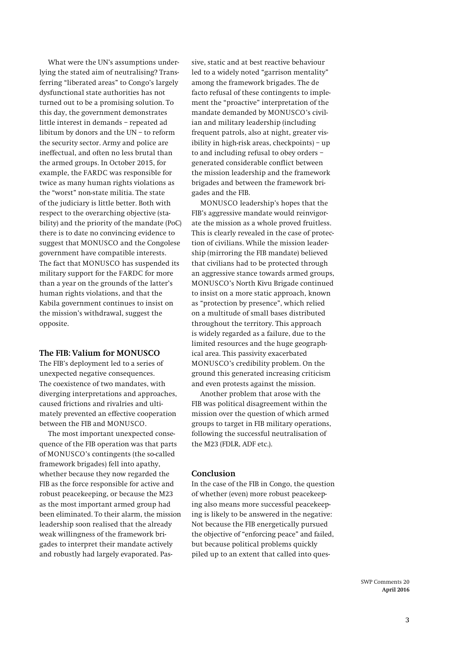What were the UN's assumptions underlying the stated aim of neutralising? Transferring "liberated areas" to Congo's largely dysfunctional state authorities has not turned out to be a promising solution. To this day, the government demonstrates little interest in demands – repeated ad libitum by donors and the UN – to reform the security sector. Army and police are ineffectual, and often no less brutal than the armed groups. In October 2015, for example, the FARDC was responsible for twice as many human rights violations as the "worst" non-state militia. The state of the judiciary is little better. Both with respect to the overarching objective (stability) and the priority of the mandate (PoC) there is to date no convincing evidence to suggest that MONUSCO and the Congolese government have compatible interests. The fact that MONUSCO has suspended its military support for the FARDC for more than a year on the grounds of the latter's human rights violations, and that the Kabila government continues to insist on the mission's withdrawal, suggest the opposite.

### **The FIB: Valium for MONUSCO**

The FIB's deployment led to a series of unexpected negative consequences. The coexistence of two mandates, with diverging interpretations and approaches, caused frictions and rivalries and ultimately prevented an effective cooperation between the FIB and MONUSCO.

The most important unexpected consequence of the FIB operation was that parts of MONUSCO's contingents (the so-called framework brigades) fell into apathy, whether because they now regarded the FIB as the force responsible for active and robust peacekeeping, or because the M23 as the most important armed group had been eliminated. To their alarm, the mission leadership soon realised that the already weak willingness of the framework brigades to interpret their mandate actively and robustly had largely evaporated. Pas-

sive, static and at best reactive behaviour led to a widely noted "garrison mentality" among the framework brigades. The de facto refusal of these contingents to implement the "proactive" interpretation of the mandate demanded by MONUSCO's civilian and military leadership (including frequent patrols, also at night, greater visibility in high-risk areas, checkpoints) – up to and including refusal to obey orders – generated considerable conflict between the mission leadership and the framework brigades and between the framework brigades and the FIB.

MONUSCO leadership's hopes that the FIB's aggressive mandate would reinvigorate the mission as a whole proved fruitless. This is clearly revealed in the case of protection of civilians. While the mission leadership (mirroring the FIB mandate) believed that civilians had to be protected through an aggressive stance towards armed groups, MONUSCO's North Kivu Brigade continued to insist on a more static approach, known as "protection by presence", which relied on a multitude of small bases distributed throughout the territory. This approach is widely regarded as a failure, due to the limited resources and the huge geographical area. This passivity exacerbated MONUSCO's credibility problem. On the ground this generated increasing criticism and even protests against the mission.

Another problem that arose with the FIB was political disagreement within the mission over the question of which armed groups to target in FIB military operations, following the successful neutralisation of the M23 (FDLR, ADF etc.).

## **Conclusion**

In the case of the FIB in Congo, the question of whether (even) more robust peacekeeping also means more successful peacekeeping is likely to be answered in the negative: Not because the FIB energetically pursued the objective of "enforcing peace" and failed, but because political problems quickly piled up to an extent that called into ques-

> SWP Comments 20 **April 2016**